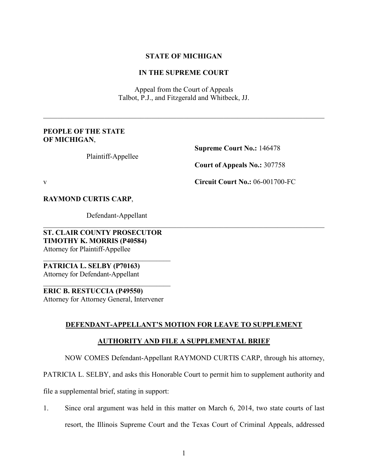### **STATE OF MICHIGAN**

## **IN THE SUPREME COURT**

Appeal from the Court of Appeals Talbot, P.J., and Fitzgerald and Whitbeck, JJ.

 $\_$  , and the set of the set of the set of the set of the set of the set of the set of the set of the set of the set of the set of the set of the set of the set of the set of the set of the set of the set of the set of th

#### **PEOPLE OF THE STATE OF MICHIGAN**,

Plaintiff-Appellee

**Supreme Court No.:** 146478

**Court of Appeals No.:** 307758

v **Circuit Court No.:** 06-001700-FC

**RAYMOND CURTIS CARP**,

Defendant-Appellant

**ST. CLAIR COUNTY PROSECUTOR TIMOTHY K. MORRIS (P40584)**  Attorney for Plaintiff-Appellee

\_\_\_\_\_\_\_\_\_\_\_\_\_\_\_\_\_\_\_\_\_\_\_\_\_\_\_\_\_\_\_\_\_\_\_\_ **PATRICIA L. SELBY (P70163)**  Attorney for Defendant-Appellant

**ERIC B. RESTUCCIA (P49550)**  Attorney for Attorney General, Intervener

\_\_\_\_\_\_\_\_\_\_\_\_\_\_\_\_\_\_\_\_\_\_\_\_\_\_\_\_\_\_\_\_\_\_\_\_

# **DEFENDANT-APPELLANT'S MOTION FOR LEAVE TO SUPPLEMENT**

 $\_$  , and the set of the set of the set of the set of the set of the set of the set of the set of the set of the set of the set of the set of the set of the set of the set of the set of the set of the set of the set of th

# **AUTHORITY AND FILE A SUPPLEMENTAL BRIEF**

NOW COMES Defendant-Appellant RAYMOND CURTIS CARP, through his attorney,

PATRICIA L. SELBY, and asks this Honorable Court to permit him to supplement authority and

file a supplemental brief, stating in support:

1. Since oral argument was held in this matter on March 6, 2014, two state courts of last resort, the Illinois Supreme Court and the Texas Court of Criminal Appeals, addressed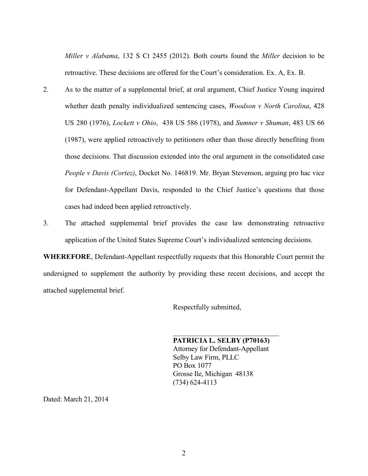*Miller v Alabama*, 132 S Ct 2455 (2012). Both courts found the *Miller* decision to be retroactive. These decisions are offered for the Court's consideration. Ex. A, Ex. B.

- 2. As to the matter of a supplemental brief, at oral argument, Chief Justice Young inquired whether death penalty individualized sentencing cases, *Woodson v North Carolina*, 428 US 280 (1976), *Lockett v Ohio*, 438 US 586 (1978), and *Sumner v Shuman*, 483 US 66 (1987), were applied retroactively to petitioners other than those directly benefiting from those decisions. That discussion extended into the oral argument in the consolidated case *People v Davis (Cortez)*, Docket No. 146819. Mr. Bryan Stevenson, arguing pro hac vice for Defendant-Appellant Davis, responded to the Chief Justice's questions that those cases had indeed been applied retroactively.
- 3. The attached supplemental brief provides the case law demonstrating retroactive application of the United States Supreme Court's individualized sentencing decisions.

**WHEREFORE**, Defendant-Appellant respectfully requests that this Honorable Court permit the undersigned to supplement the authority by providing these recent decisions, and accept the attached supplemental brief.

Respectfully submitted,

**PATRICIA L. SELBY (P70163)**  Attorney for Defendant-Appellant Selby Law Firm, PLLC PO Box 1077 Grosse Ile, Michigan 48138 (734) 624-4113

\_\_\_\_\_\_\_\_\_\_\_\_\_\_\_\_\_\_\_\_\_\_\_\_\_\_\_\_\_\_

Dated: March 21, 2014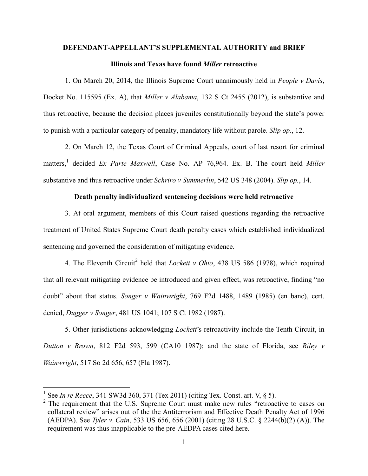# **DEFENDANT-APPELLANT'S SUPPLEMENTAL AUTHORITY and BRIEF Illinois and Texas have found** *Miller* **retroactive**

1. On March 20, 2014, the Illinois Supreme Court unanimously held in *People v Davis*, Docket No. 115595 (Ex. A), that *Miller v Alabama*, 132 S Ct 2455 (2012), is substantive and thus retroactive, because the decision places juveniles constitutionally beyond the state's power to punish with a particular category of penalty, mandatory life without parole. *Slip op.*, 12.

2. On March 12, the Texas Court of Criminal Appeals, court of last resort for criminal matters,<sup>1</sup> decided *Ex Parte Maxwell*, Case No. AP 76,964. Ex. B. The court held *Miller* substantive and thus retroactive under *Schriro v Summerlin*, 542 US 348 (2004). *Slip op.*, 14.

#### **Death penalty individualized sentencing decisions were held retroactive**

3. At oral argument, members of this Court raised questions regarding the retroactive treatment of United States Supreme Court death penalty cases which established individualized sentencing and governed the consideration of mitigating evidence.

4. The Eleventh Circuit<sup>2</sup> held that *Lockett v Ohio*, 438 US 586 (1978), which required that all relevant mitigating evidence be introduced and given effect, was retroactive, finding "no doubt" about that status. *Songer v Wainwright*, 769 F2d 1488, 1489 (1985) (en banc), cert. denied, *Dugger v Songer*, 481 US 1041; 107 S Ct 1982 (1987).

5. Other jurisdictions acknowledging *Lockett*'s retroactivity include the Tenth Circuit, in *Dutton v Brown*, 812 F2d 593, 599 (CA10 1987); and the state of Florida, see *Riley v Wainwright*, 517 So 2d 656, 657 (Fla 1987).

-

<sup>1</sup> See *In re Reece*, 341 SW3d 360, 371 (Tex 2011) (citing Tex. Const. art. V, § 5).

 $2$  The requirement that the U.S. Supreme Court must make new rules "retroactive to cases on collateral review" arises out of the the Antiterrorism and Effective Death Penalty Act of 1996 (AEDPA). See *Tyler v. Cain*, 533 US 656, 656 (2001) (citing 28 U.S.C. § 2244(b)(2) (A)). The requirement was thus inapplicable to the pre-AEDPA cases cited here.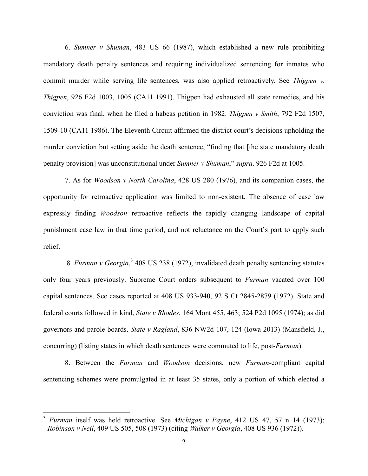6. *Sumner v Shuman*, 483 US 66 (1987), which established a new rule prohibiting mandatory death penalty sentences and requiring individualized sentencing for inmates who commit murder while serving life sentences, was also applied retroactively. See *Thigpen v. Thigpen*, 926 F2d 1003, 1005 (CA11 1991). Thigpen had exhausted all state remedies, and his conviction was final, when he filed a habeas petition in 1982. *Thigpen v Smith*, 792 F2d 1507, 1509-10 (CA11 1986). The Eleventh Circuit affirmed the district court's decisions upholding the murder conviction but setting aside the death sentence, "finding that [the state mandatory death penalty provision] was unconstitutional under *Sumner v Shuman*," *supra*. 926 F2d at 1005.

7. As for *Woodson v North Carolina*, 428 US 280 (1976), and its companion cases, the opportunity for retroactive application was limited to non-existent. The absence of case law expressly finding *Woodson* retroactive reflects the rapidly changing landscape of capital punishment case law in that time period, and not reluctance on the Court's part to apply such relief.

 8. *Furman v Georgia*, 3 408 US 238 (1972), invalidated death penalty sentencing statutes only four years previously. Supreme Court orders subsequent to *Furman* vacated over 100 capital sentences. See cases reported at 408 US 933-940, 92 S Ct 2845-2879 (1972). State and federal courts followed in kind, *State v Rhodes*, 164 Mont 455, 463; 524 P2d 1095 (1974); as did governors and parole boards. *State v Ragland*, 836 NW2d 107, 124 (Iowa 2013) (Mansfield, J., concurring) (listing states in which death sentences were commuted to life, post-*Furman*).

8. Between the *Furman* and *Woodson* decisions, new *Furman*-compliant capital sentencing schemes were promulgated in at least 35 states, only a portion of which elected a

l

<sup>3</sup> *Furman* itself was held retroactive. See *Michigan v Payne*, 412 US 47, 57 n 14 (1973); *Robinson v Neil*, 409 US 505, 508 (1973) (citing *Walker v Georgia*, 408 US 936 (1972)).